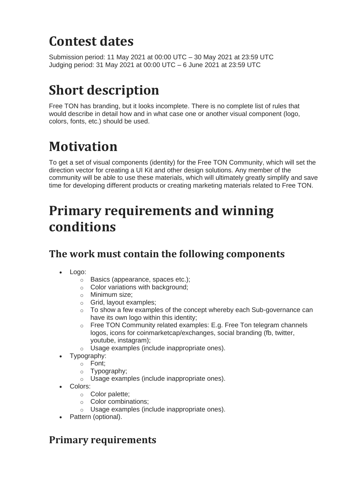## **Contest dates**

Submission period: 11 May 2021 at 00:00 UTC – 30 May 2021 at 23:59 UTC Judging period: 31 May 2021 at 00:00 UTC – 6 June 2021 at 23:59 UTC

# **Short description**

Free TON has branding, but it looks incomplete. There is no complete list of rules that would describe in detail how and in what case one or another visual component (logo, colors, fonts, etc.) should be used.

# **Motivation**

To get a set of visual components (identity) for the Free TON Community, which will set the direction vector for creating a UI Kit and other design solutions. Any member of the community will be able to use these materials, which will ultimately greatly simplify and save time for developing different products or creating marketing materials related to Free TON.

## **Primary requirements and winning conditions**

### **The work must contain the following components**

- Logo:
	- o Basics (appearance, spaces etc.);
	- o Color variations with background;
	- o Minimum size;
	- o Grid, layout examples;
	- $\circ$  To show a few examples of the concept whereby each Sub-governance can have its own logo within this identity;
	- $\circ$  Free TON Community related examples: E.g. Free Ton telegram channels logos, icons for coinmarketcap/exchanges, social branding (fb, twitter, youtube, instagram);
	- o Usage examples (include inappropriate ones).
- Typography:
	- o Font;
	- o Typography;
	- o Usage examples (include inappropriate ones).
- Colors:
	- o Color palette;
	- o Color combinations;
	- o Usage examples (include inappropriate ones).
- Pattern (optional).

#### **Primary requirements**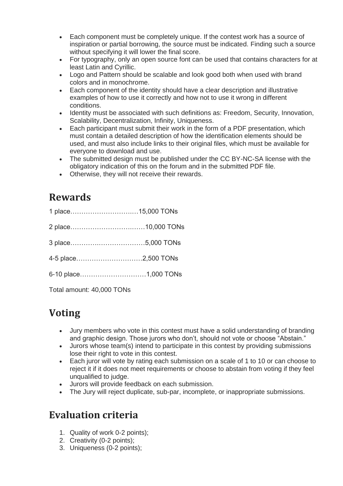- Each component must be completely unique. If the contest work has a source of inspiration or partial borrowing, the source must be indicated. Finding such a source without specifying it will lower the final score.
- For typography, only an open source font can be used that contains characters for at least Latin and Cyrillic.
- Logo and Pattern should be scalable and look good both when used with brand colors and in monochrome.
- Each component of the identity should have a clear description and illustrative examples of how to use it correctly and how not to use it wrong in different conditions.
- Identity must be associated with such definitions as: Freedom, Security, Innovation, Scalability, Decentralization, Infinity, Uniqueness.
- Each participant must submit their work in the form of a PDF presentation, which must contain a detailed description of how the identification elements should be used, and must also include links to their original files, which must be available for everyone to download and use.
- The submitted design must be published under the CC BY-NC-SA license with the obligatory indication of this on the forum and in the submitted PDF file.
- Otherwise, they will not receive their rewards.

#### **Rewards**

| 1 place15,000 TONs |  |
|--------------------|--|
|                    |  |
|                    |  |
|                    |  |
|                    |  |
|                    |  |

Total amount: 40,000 TONs

### **Voting**

- Jury members who vote in this contest must have a solid understanding of branding and graphic design. Those jurors who don't, should not vote or choose "Abstain."
- Jurors whose team(s) intend to participate in this contest by providing submissions lose their right to vote in this contest.
- Each juror will vote by rating each submission on a scale of 1 to 10 or can choose to reject it if it does not meet requirements or choose to abstain from voting if they feel unqualified to judge.
- Jurors will provide feedback on each submission.
- The Jury will reject duplicate, sub-par, incomplete, or inappropriate submissions.

### **Evaluation criteria**

- 1. Quality of work 0-2 points);
- 2. Creativity (0-2 points);
- 3. Uniqueness (0-2 points);